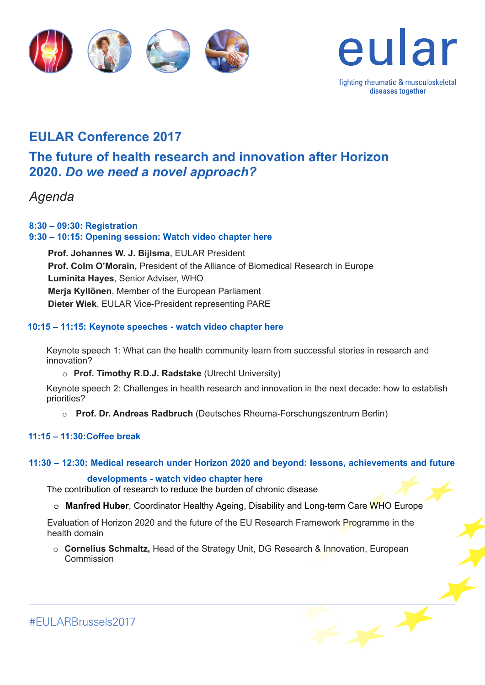



# **EULAR Conference 2017**

# **The future of health research and innovation after Horizon 2020.** *Do we need a novel approach?*

## *Agenda*

### **8:30 – 09:30: Registration [9:30 – 10:15: Opening session](https://youtu.be/Vy97EkrYqlk): Watch video chapter here**

**Prof. Johannes W. J. Bijlsma**, EULAR President **Prof. Colm O'Morain,** President of the Alliance of Biomedical Research in Europe **Luminita Hayes**, Senior Adviser, WHO **Merja Kyllönen**, Member of the European Parliament **Dieter Wiek**, EULAR Vice-President representing PARE

## **[10:15 – 11:15: Keynote speeches](https://youtu.be/N2VjMyyyt1Y) - watch video chapter here**

Keynote speech 1: What can the health community learn from successful stories in research and innovation?

## o **Prof. Timothy R.D.J. Radstake** (Utrecht University)

Keynote speech 2: Challenges in health research and innovation in the next decade: how to establish priorities?

o **Prof. Dr. Andreas Radbruch** (Deutsches Rheuma-Forschungszentrum Berlin)

## **11:15 – 11:30: Coffee break**

## **[11:30 – 12:30: Medical research under Horizon 2020 and beyond: lessons, achievements and future](https://youtu.be/HoANqQPrbFk)**

### **developments - watch video chapter here**

The contribution of research to reduce the burden of chronic disease

o **Manfred Huber**, Coordinator Healthy Ageing, Disability and Long-term Care WHO Europe

Evaluation of Horizon 2020 and the future of the EU Research Framework Programme in the health domain

o **Cornelius Schmaltz,** Head of the Strategy Unit, DG Research & Innovation, European Commission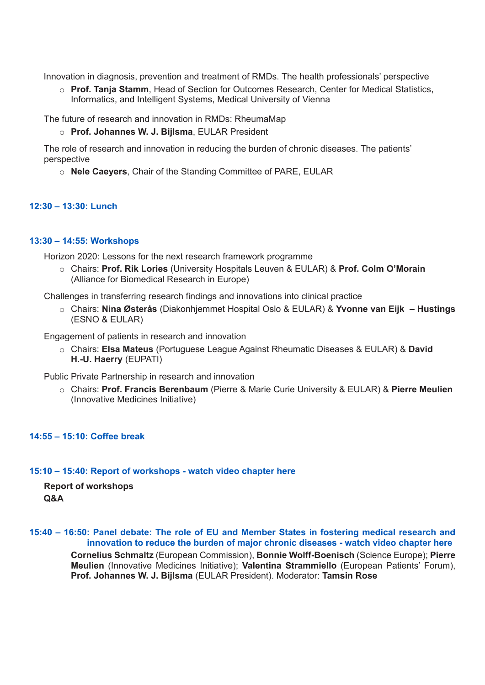Innovation in diagnosis, prevention and treatment of RMDs. The health professionals' perspective

o **Prof. Tanja Stamm**, Head of Section for Outcomes Research, Center for Medical Statistics, Informatics, and Intelligent Systems, Medical University of Vienna

The future of research and innovation in RMDs: RheumaMap

o **Prof. Johannes W. J. Bijlsma**, EULAR President

The role of research and innovation in reducing the burden of chronic diseases. The patients' perspective

o **Nele Caeyers**, Chair of the Standing Committee of PARE, EULAR

### **12:30 – 13:30: Lunch**

### **13:30 – 14:55: Workshops**

Horizon 2020: Lessons for the next research framework programme

o Chairs: **Prof. Rik Lories** (University Hospitals Leuven & EULAR) & **Prof. Colm O'Morain** (Alliance for Biomedical Research in Europe)

Challenges in transferring research findings and innovations into clinical practice

o Chairs: **Nina Østerås** (Diakonhjemmet Hospital Oslo & EULAR) & **Yvonne van Eijk – Hustings** (ESNO & EULAR)

Engagement of patients in research and innovation

o Chairs: **Elsa Mateus** (Portuguese League Against Rheumatic Diseases & EULAR) & **David H.-U. Haerry** (EUPATI)

Public Private Partnership in research and innovation

o Chairs: **Prof. Francis Berenbaum** (Pierre & Marie Curie University & EULAR) & **Pierre Meulien** (Innovative Medicines Initiative)

### **14:55 – 15:10: Coffee break**

#### **[15:10 – 15:40: Report of workshops](https://youtu.be/OS0-3qbyMLA) - watch video chapter here**

**Report of workshops Q&A**

#### **[15:40 – 16:50: Panel debate: The role of EU and Member States in fostering medical research and](https://youtu.be/2jhEttlhcSg)  innovation to reduce the burden of major chronic diseases - watch video chapter here**

**Cornelius Schmaltz** (European Commission), **Bonnie Wolff-Boenisch** (Science Europe); **Pierre Meulien** (Innovative Medicines Initiative); **Valentina Strammiello** (European Patients' Forum), **Prof. Johannes W. J. Bijlsma** (EULAR President). Moderator: **Tamsin Rose**